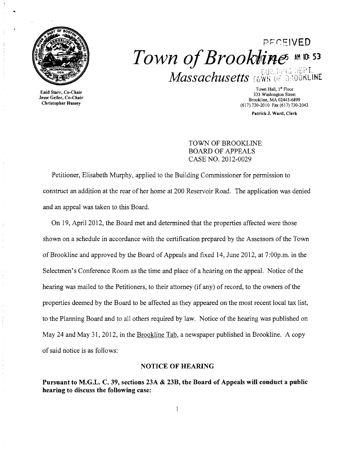

Enid Starr, Co-Chair Jesse Geller, Co-Chair Christopher Hussey

# **PECEIVED**  $Town$  of Brookline ME53 **Massachusetts** FOWN OF BROOKLINE

Town Hall, 1st Floor 333 Washington Street Brookline, MA 02445-6899 (617) 730-2010 Fax (617) 730-2043

Patrick J. Ward, Clerk

TOWN OF BROOKLINE BOARD OF APPEALS CASE NO. 2012-0029

Petitioner, Elisabeth Murphy, applied to the Building Commissioner for permission to construct an addition at the rear of her home at 200 Reservoir Road. The application was denied and an appeal was taken to this Board.

On 19, April 2012, the Board met and determined that the properties affected were those shown on a schedule in accordance with the certification prepared by the Assessors of the Town of Brookline and approved by the Board of Appeals and fixed 14, June 2012, at 7:00p.m. in the Selectmen's Conference Room as the time and place of a hearing on the appeal. Notice of the hearing was mailed to the Petitioners, to their attorney (if any) of record, to the owners of the properties deemed by the Board to be affected as they appeared on the most recent local tax list, to the Planning Board and to all others required by law. Notice of the hearing was published on May 24 and May 31, 2012, in the Brookline Tab, a newspaper published in Brookline. A copy of said notice is as follows:

#### NOTICE OF HEARING

Pursuant to M.G.L. C. 39, sections 23A & 23B, the Board of Appeals will conduct a public hearing to discuss the following case: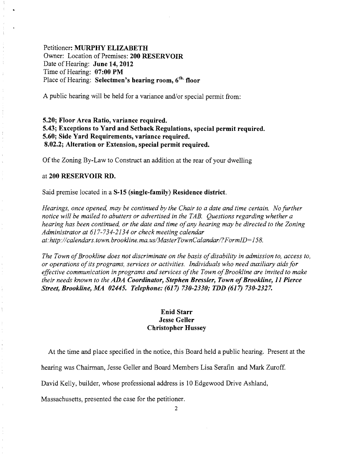# Petitioner: MURPHY ELIZABETH Owner: Location of Premises: 200 RESERVOIR Date of Hearing: June 14,2012 Time of Hearing: 07:00 PM Place of Hearing: Selectmen's hearing room, 6<sup>th.</sup> floor

A public hearing will be held for a variance and/or special permit from:

# 5.20; Floor Area Ratio, variance required. 5.43; Exceptions to Yard and Setback Regulations, special permit required. 5.60; Side Yard Requirements, variance required. 8.02.2; Alteration or Extension, special permit required.

Of the Zoning By-Law to Construct an addition at the rear of your dwelling

#### at 200 RESERVOIR RD.

Said premise located in a *S-15* (single-family) Residence district.

*Hearings, once opened, may be continued by the Chair to a date and time certain. No further notice will be mailed to abutters or advertised in the TAB. Questions regarding whether a hearing has been continued, or the date and time ofany hearing may be directed to the Zoning Administrator at* 617-734-2134 *or check meeting calendar at:http://calendars.town.brookline.ma.usIMasterTownCalandarl?FormID=158.* 

The Town of Brookline does not discriminate on the basis of disability in admission to, access to, *or operations ofits programs, services or activities. Individuals who need auxiliary aids for effective communication in programs and services ofthe Town ofBrookline are invited to make their needs known to the ADA Coordinator, Stephen Bressler, Town of Brookline, 11 Pierce Street, Brookline, MA 02445. Telephone:* (617) *730-2330; TDD* (617) *730-2327.* 

## Enid Starr Jesse Geller Christopher Hussey

At the time and place specified in the notice, this Board held a public hearing. Present at the

hearing was Chairman, Jesse Geller and Board Members Lisa Serafin and Mark Zuroff.

David Kelly, builder, whose professional address is 10 Edgewood Drive Ashland,

Massachusetts, presented the case for the petitioner.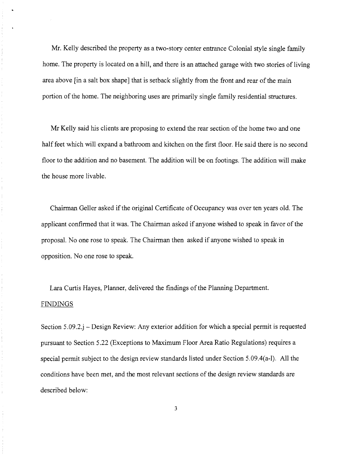Mr. Kelly described the property as a two-story center entrance Colonial style single family home. The property is located on a hill, and there is an attached garage with two stories of living area above [in a salt box shape] that is setback slightly from the front and rear of the main portion of the home. The neighboring uses are primarily single family residential structures.

 $\frac{1}{2}$ 

 $\frac{1}{\ell}$  $\frac{1}{4}$ 

Mr Kelly said his clients are proposing to extend the rear section of the home two and one half feet which will expand a bathroom and kitchen on the first floor. He said there is no second floor to the addition and no basement. The addition will be on footings. The addition will make the house more livable.

Chairman Geller asked if the original Certificate of Occupancy was over ten years old. The applicant confirmed that it was. The Chairman asked if anyone wished to speak in favor of the proposal. No one rose to speak. The Chairman then asked if anyone wished to speak in opposition. No one rose to speak.

Lara Curtis Hayes, Planner, delivered the findings of the Planning Department. FINDINGS

Section 5.09.2.j - Design Review: Any exterior addition for which a special permit is requested pursuant to Section 5.22 (Exceptions to Maximum Floor Area Ratio Regulations) requires a special permit subject to the design review standards listed under Section 5.09.4(a-I). All the conditions have been met, and the most relevant sections of the design review standards are described below:

3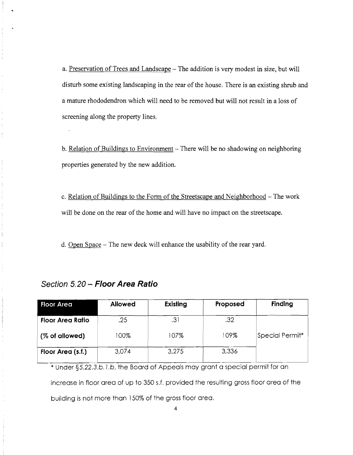a. Preservation of Trees and Landscape - The addition is very modest in size, but will disturb some existing landscaping in the rear of the house. There is an existing shrub and a mature rhododendron which will need to be removed but will not result in a loss of screening along the property lines.

b. Relation of Buildings to Environment - There will be no shadowing on neighboring properties generated by the new addition.

c. Relation of Buildings to the Form of the Streetscape and Neighborhood – The work will be done on the rear of the home and will have no impact on the streetscape.

d. Open Space - The new deck will enhance the usability of the rear yard.

| <b>Floor Area</b>       | <b>Allowed</b> | Existing | Proposed | <b>Finding</b>  |
|-------------------------|----------------|----------|----------|-----------------|
| <b>Floor Area Ratio</b> | .25            | .31      | .32      |                 |
| (% of allowed)          | 100%           | 107%     | 109%     | Special Permit* |
| Floor Area (s.f.)       | 3,074          | 3,275    | 3,336    |                 |

# **Section 5.20 - Floor Area Ratio**

\* Under *§5.22.3.b./.b,* the Board of Appeals may grant a special permit for an

increase in floor area of up to 350 s.f. provided the resulting gross floor area of the

building is not more than 150% of the gross floor area.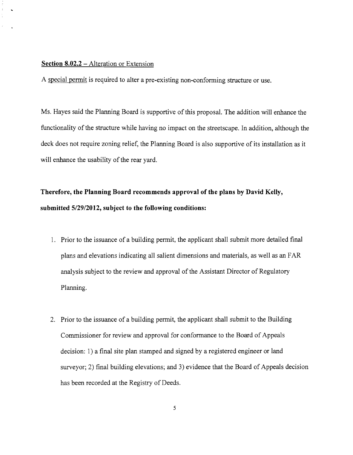#### **Section 8.02.2 -** Alteration or Extension

A special permit is required to alter a pre-existing non-conforming structure or use.

Ms. Hayes said the Planning Board is supportive of this proposal. The addition will enhance the functionality of the structure while having no impact on the streetscape. In addition, although the deck does not require zoning relief, the Planning Board is also supportive of its installation as it will enhance the usability of the rear yard.

# **Therefore, the Planning Board recommends approval of the plans by David Kelly, submitted 5/29/2012, subject to the following conditions:**

- 1. Prior to the issuance of a building permit, the applicant shall submit more detailed final plans and elevations indicating all salient dimensions and materials, as well as an FAR analysis subject to the review and approval of the Assistant Director of Regulatory Planning.
- 2. Prior to the issuance of a building permit, the applicant shall submit to the Building Commissioner for review and approval for conformance to the Board of Appeals decision: 1) a final site plan stamped and signed by a registered engineer or land surveyor; 2) final building elevations; and 3) evidence that the Board of Appeals decision has been recorded at the Registry of Deeds.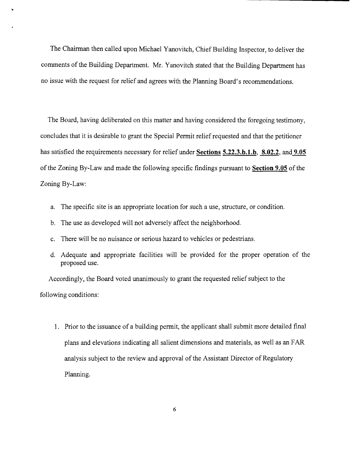The Chairman then called upon Michael Yanovitch, Chief Building Inspector, to deliver the comments of the Building Department. Mr. Yanovitch stated that the Building Department has no issue with the request for relief and agrees with the Planning Board's recommendations.

..

The Board, having deliberated on this matter and having considered the foregoing testimony, concludes that it is desirable to grant the Special Permit relief requested and that the petitioner has satisfied the requirements necessary for relief under **Sections 5.22.3.b.1.b, 8.02.2,** and **9.05**  of the Zoning By-Law and made the following specific findings pursuant to **Section 9.05** of the Zoning By-Law:

- a. The specific site is an appropriate location for such a use, structure, or condition.
- b. The use as developed will not adversely affect the neighborhood.
- c. There will be no nuisance or serious hazard to vehicles or pedestrians.
- d. Adequate and appropriate facilities will be provided for the proper operation of the proposed use.

Accordingly, the Board voted unanimously to grant the requested relief subject to the following conditions:

1. Prior to the issuance of a building permit, the applicant shall submit more detailed final plans and elevations indicating all salient dimensions and materials, as well as an FAR analysis subject to the review and approval of the Assistant Director of Regulatory Planning.